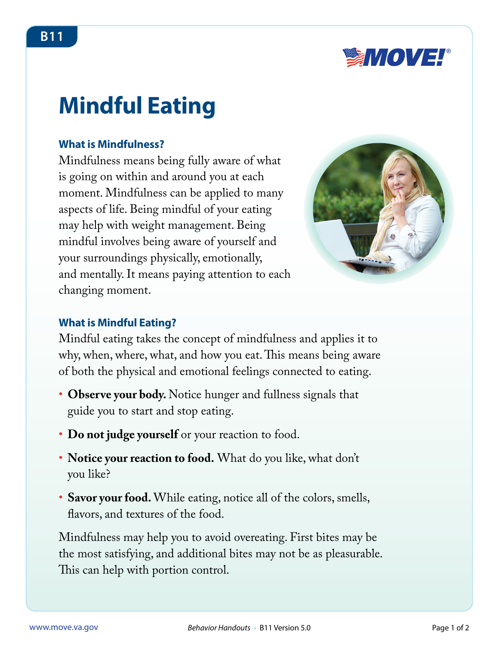

# **Mindful Eating**

#### **What is Mindfulness?**

Mindfulness means being fully aware of what is going on within and around you at each moment. Mindfulness can be applied to many aspects of life. Being mindful of your eating may help with weight management. Being mindful involves being aware of yourself and your surroundings physically, emotionally, and mentally. It means paying attention to each changing moment.



#### **What is Mindful Eating?**

Mindful eating takes the concept of mindfulness and applies it to why, when, where, what, and how you eat. This means being aware of both the physical and emotional feelings connected to eating.

- Observe your body. Notice hunger and fullness signals that guide you to start and stop eating.
- **Do not judge yourself** or your reaction to food.
- • **Notice your reaction to food.** What do you like, what don't you like?
- **Savor your food.** While eating, notice all of the colors, smells, flavors, and textures of the food.

Mindfulness may help you to avoid overeating. First bites may be the most satisfying, and additional bites may not be as pleasurable. This can help with portion control.